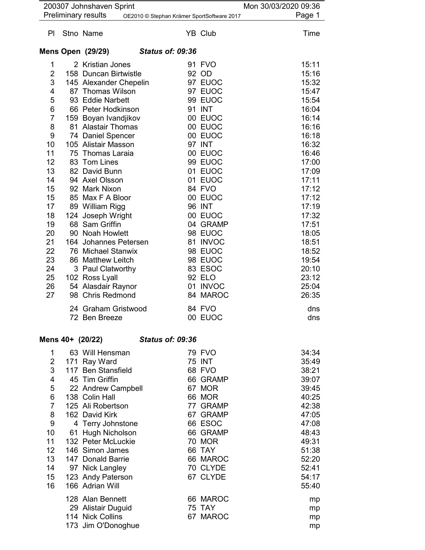|                           |                  | 200307 Johnshaven Sprint<br><b>Preliminary results</b> | OE2010 © Stephan Krämer SportSoftware 2017 | Mon 30/03/2020 09:36<br>Page 1 |
|---------------------------|------------------|--------------------------------------------------------|--------------------------------------------|--------------------------------|
| PI.                       |                  | Stno Name                                              | YB Club                                    | Time                           |
|                           |                  | <b>Mens Open (29/29)</b>                               | <b>Status of: 09:36</b>                    |                                |
| 1                         |                  | 2 Kristian Jones                                       | 91 FVO                                     | 15:11                          |
| $\overline{2}$            | 158              | <b>Duncan Birtwistle</b>                               | 92 OD                                      | 15:16                          |
| $\ensuremath{\mathsf{3}}$ |                  | 145 Alexander Chepelin                                 | 97 EUOC                                    | 15:32                          |
| 4<br>5                    | 87<br>93         | <b>Thomas Wilson</b><br><b>Eddie Narbett</b>           | 97 EUOC<br>99 EUOC                         | 15:47<br>15:54                 |
| 6                         |                  | 66 Peter Hodkinson                                     | 91 INT                                     | 16:04                          |
| 7                         | 159              | Boyan Ivandjikov                                       | 00 EUOC                                    | 16:14                          |
| 8                         |                  | 81 Alastair Thomas                                     | 00 EUOC                                    | 16:16                          |
| 9                         |                  | 74 Daniel Spencer                                      | 00 EUOC                                    | 16:18                          |
| 10                        |                  | 105 Alistair Masson                                    | 97 INT                                     | 16:32                          |
| 11<br>12                  |                  | 75 Thomas Laraia<br>83 Tom Lines                       | 00 EUOC<br>99 EUOC                         | 16:46<br>17:00                 |
| 13                        |                  | 82 David Bunn                                          | 01 EUOC                                    | 17:09                          |
| 14                        |                  | 94 Axel Olsson                                         | 01 EUOC                                    | 17:11                          |
| 15                        |                  | 92 Mark Nixon                                          | 84 FVO                                     | 17:12                          |
| 15                        |                  | 85 Max F A Bloor                                       | 00 EUOC                                    | 17:12                          |
| 17<br>18                  |                  | 89 William Rigg<br>124 Joseph Wright                   | 96 INT<br>00 EUOC                          | 17:19<br>17:32                 |
| 19                        |                  | 68 Sam Griffin                                         | 04 GRAMP                                   | 17:51                          |
| 20                        |                  | 90 Noah Howlett                                        | 98 EUOC                                    | 18:05                          |
| 21                        |                  | 164 Johannes Petersen                                  | 81 INVOC                                   | 18:51                          |
| 22                        |                  | 76 Michael Stanwix                                     | 98 EUOC                                    | 18:52                          |
| 23                        |                  | 86 Matthew Leitch                                      | 98 EUOC                                    | 19:54                          |
| 24<br>25                  |                  | 3 Paul Clatworthy                                      | 83 ESOC<br>92 ELO                          | 20:10<br>23:12                 |
| 26                        |                  | 102 Ross Lyall<br>54 Alasdair Raynor                   | 01 INVOC                                   | 25:04                          |
| 27                        |                  | 98 Chris Redmond                                       | 84 MAROC                                   | 26:35                          |
|                           |                  | 24 Graham Gristwood                                    | 84 FVO                                     | dns                            |
|                           |                  | 72 Ben Breeze                                          | 00 EUOC                                    | dns                            |
|                           |                  |                                                        |                                            |                                |
|                           | Mens 40+ (20/22) |                                                        | <b>Status of: 09:36</b>                    |                                |
| 1                         |                  | 63 Will Hensman                                        | 79 FVO                                     | 34:34                          |
| $\overline{c}$            | 171              | Ray Ward                                               | <b>75 INT</b>                              | 35:49                          |
| $\ensuremath{\mathsf{3}}$ | 117              | <b>Ben Stansfield</b>                                  | 68 FVO                                     | 38:21                          |
| 4<br>$\mathbf 5$          |                  | 45 Tim Griffin<br>22 Andrew Campbell                   | 66 GRAMP<br>67 MOR                         | 39:07<br>39:45                 |
| 6                         |                  | 138 Colin Hall                                         | 66 MOR                                     | 40:25                          |
| $\overline{7}$            |                  | 125 Ali Robertson                                      | 77 GRAMP                                   | 42:38                          |
| 8                         |                  | 162 David Kirk                                         | 67 GRAMP                                   | 47:05                          |
| 9                         |                  | 4 Terry Johnstone                                      | 66 ESOC                                    | 47:08                          |
| 10                        |                  | 61 Hugh Nicholson                                      | 66 GRAMP                                   | 48:43                          |
| 11<br>12                  |                  | 132 Peter McLuckie<br>146 Simon James                  | 70 MOR<br>66 TAY                           | 49:31                          |
| 13                        |                  | 147 Donald Barrie                                      | 66 MAROC                                   | 51:38<br>52:20                 |
| 14                        |                  | 97 Nick Langley                                        | 70 CLYDE                                   | 52:41                          |
| 15                        |                  | 123 Andy Paterson                                      | 67 CLYDE                                   | 54:17                          |
| 16                        |                  | 166 Adrian Will                                        |                                            | 55:40                          |
|                           |                  | 128 Alan Bennett                                       | 66 MAROC                                   | mp                             |
|                           |                  | 29 Alistair Duguid                                     | <b>75 TAY</b>                              | mp                             |
|                           |                  | 114 Nick Collins                                       | 67 MAROC                                   | mp                             |
|                           |                  | 173 Jim O'Donoghue                                     |                                            | mp                             |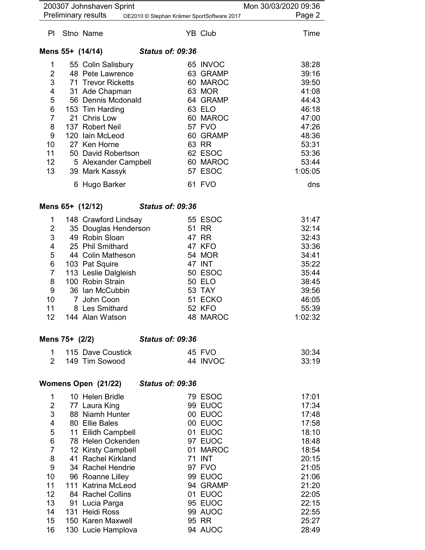| 200307 Johnshaven Sprint<br>Mon 30/03/2020 09:36<br><b>Preliminary results</b><br>Page 2<br>OE2010 © Stephan Krämer SportSoftware 2017<br>YB Club<br>Stno Name<br>Time<br>PI.<br>Mens 55+ (14/14)<br><b>Status of: 09:36</b><br>65 INVOC<br>38:28<br>55 Colin Salisbury<br>1<br>2<br>Pete Lawrence<br>63 GRAMP<br>39:16<br>48<br>3<br>60 MAROC<br><b>Trevor Ricketts</b><br>39:50<br>71<br>4<br>63 MOR<br>Ade Chapman<br>41:08<br>31<br>5<br>64 GRAMP<br>Dennis Mcdonald<br>44:43<br>56<br>6<br>63 ELO<br>46:18<br>153 Tim Harding<br>7<br>21 Chris Low<br>60 MAROC<br>47:00<br>8<br>137 Robert Neil<br><b>57 FVO</b><br>47:26<br>9<br>60 GRAMP<br>48:36<br>120 Iain McLeod<br>10<br>27 Ken Horne<br>63 RR<br>53:31<br>62 ESOC<br>53:36<br>11<br>50 David Robertson<br>12<br>60 MAROC<br>53:44<br>5 Alexander Campbell<br>13<br>57 ESOC<br>1:05:05<br>39 Mark Kassyk<br>61 FVO<br>6 Hugo Barker<br>dns<br><b>Status of: 09:36</b><br>Mens 65+ (12/12)<br>55 ESOC<br>148 Crawford Lindsay<br>31:47<br>1<br>$\overline{2}$<br>51 RR<br>32:14<br>35 Douglas Henderson<br>$\mathfrak{S}$<br>47 RR<br>49 Robin Sloan<br>32:43<br>4<br>47 KFO<br>33:36<br>25 Phil Smithard<br>5<br>54 MOR<br>44 Colin Matheson<br>34:41<br>$\,6$<br>35:22<br>103 Pat Squire<br>47 INT<br>$\overline{7}$<br>50 ESOC<br>113 Leslie Dalgleish<br>35:44<br>8<br>50 ELO<br>100 Robin Strain<br>38:45<br>9<br>36 Ian McCubbin<br>53 TAY<br>39:56<br>10<br>51 ECKO<br>46:05<br>7 John Coon<br><b>52 KFO</b><br>8 Les Smithard<br>55:39<br>11<br>12<br>1:02:32<br>144 Alan Watson<br>48 MAROC<br><b>Status of: 09:36</b><br>Mens 75+ (2/2)<br>115 Dave Coustick<br>45 FVO<br>30:34<br>$\mathbf 1$<br>$\overline{2}$<br>149 Tim Sowood<br>44 INVOC<br>33:19<br>Womens Open (21/22)<br><b>Status of: 09:36</b><br>79 ESOC<br>10 Helen Bridle<br>17:01<br>1<br>$\overline{2}$<br>99 EUOC<br>17:34<br>77 Laura King<br>3<br>88 Niamh Hunter<br>00 EUOC<br>17:48<br>4<br>00 EUOC<br>80 Ellie Bales<br>17:58<br>5<br>11 Eilidh Campbell<br>01 EUOC<br>18:10<br>6<br>97 EUOC<br>78 Helen Ockenden<br>18:48<br>7<br>18:54<br>12 Kirsty Campbell<br>01 MAROC<br>8<br>71 INT<br>41 Rachel Kirkland<br>20:15<br>9<br>97 FVO<br>34 Rachel Hendrie<br>21:05<br>10<br>99 EUOC<br>21:06<br>96 Roanne Lilley<br>11<br>94 GRAMP<br>21:20<br>Katrina McLeod<br>111<br>12<br>22:05<br>84 Rachel Collins<br>01 EUOC<br>13<br>95 EUOC<br>22:15<br>91 Lucia Parga<br>99 AUOC<br>14<br>22:55<br>131 Heidi Ross<br>95 RR<br>15<br>150 Karen Maxwell<br>25:27<br>16<br>94 AUOC<br>28:49<br>130 Lucie Hamplova |  |  |
|--------------------------------------------------------------------------------------------------------------------------------------------------------------------------------------------------------------------------------------------------------------------------------------------------------------------------------------------------------------------------------------------------------------------------------------------------------------------------------------------------------------------------------------------------------------------------------------------------------------------------------------------------------------------------------------------------------------------------------------------------------------------------------------------------------------------------------------------------------------------------------------------------------------------------------------------------------------------------------------------------------------------------------------------------------------------------------------------------------------------------------------------------------------------------------------------------------------------------------------------------------------------------------------------------------------------------------------------------------------------------------------------------------------------------------------------------------------------------------------------------------------------------------------------------------------------------------------------------------------------------------------------------------------------------------------------------------------------------------------------------------------------------------------------------------------------------------------------------------------------------------------------------------------------------------------------------------------------------------------------------------------------------------------------------------------------------------------------------------------------------------------------------------------------------------------------------------------------------------------------------------------------------------------------------------------------------------------------------------------------------------------------------------------------------------------------------------------------------------------------------------------------------------------------------------|--|--|
|                                                                                                                                                                                                                                                                                                                                                                                                                                                                                                                                                                                                                                                                                                                                                                                                                                                                                                                                                                                                                                                                                                                                                                                                                                                                                                                                                                                                                                                                                                                                                                                                                                                                                                                                                                                                                                                                                                                                                                                                                                                                                                                                                                                                                                                                                                                                                                                                                                                                                                                                                        |  |  |
|                                                                                                                                                                                                                                                                                                                                                                                                                                                                                                                                                                                                                                                                                                                                                                                                                                                                                                                                                                                                                                                                                                                                                                                                                                                                                                                                                                                                                                                                                                                                                                                                                                                                                                                                                                                                                                                                                                                                                                                                                                                                                                                                                                                                                                                                                                                                                                                                                                                                                                                                                        |  |  |
|                                                                                                                                                                                                                                                                                                                                                                                                                                                                                                                                                                                                                                                                                                                                                                                                                                                                                                                                                                                                                                                                                                                                                                                                                                                                                                                                                                                                                                                                                                                                                                                                                                                                                                                                                                                                                                                                                                                                                                                                                                                                                                                                                                                                                                                                                                                                                                                                                                                                                                                                                        |  |  |
|                                                                                                                                                                                                                                                                                                                                                                                                                                                                                                                                                                                                                                                                                                                                                                                                                                                                                                                                                                                                                                                                                                                                                                                                                                                                                                                                                                                                                                                                                                                                                                                                                                                                                                                                                                                                                                                                                                                                                                                                                                                                                                                                                                                                                                                                                                                                                                                                                                                                                                                                                        |  |  |
|                                                                                                                                                                                                                                                                                                                                                                                                                                                                                                                                                                                                                                                                                                                                                                                                                                                                                                                                                                                                                                                                                                                                                                                                                                                                                                                                                                                                                                                                                                                                                                                                                                                                                                                                                                                                                                                                                                                                                                                                                                                                                                                                                                                                                                                                                                                                                                                                                                                                                                                                                        |  |  |
|                                                                                                                                                                                                                                                                                                                                                                                                                                                                                                                                                                                                                                                                                                                                                                                                                                                                                                                                                                                                                                                                                                                                                                                                                                                                                                                                                                                                                                                                                                                                                                                                                                                                                                                                                                                                                                                                                                                                                                                                                                                                                                                                                                                                                                                                                                                                                                                                                                                                                                                                                        |  |  |
|                                                                                                                                                                                                                                                                                                                                                                                                                                                                                                                                                                                                                                                                                                                                                                                                                                                                                                                                                                                                                                                                                                                                                                                                                                                                                                                                                                                                                                                                                                                                                                                                                                                                                                                                                                                                                                                                                                                                                                                                                                                                                                                                                                                                                                                                                                                                                                                                                                                                                                                                                        |  |  |
|                                                                                                                                                                                                                                                                                                                                                                                                                                                                                                                                                                                                                                                                                                                                                                                                                                                                                                                                                                                                                                                                                                                                                                                                                                                                                                                                                                                                                                                                                                                                                                                                                                                                                                                                                                                                                                                                                                                                                                                                                                                                                                                                                                                                                                                                                                                                                                                                                                                                                                                                                        |  |  |
|                                                                                                                                                                                                                                                                                                                                                                                                                                                                                                                                                                                                                                                                                                                                                                                                                                                                                                                                                                                                                                                                                                                                                                                                                                                                                                                                                                                                                                                                                                                                                                                                                                                                                                                                                                                                                                                                                                                                                                                                                                                                                                                                                                                                                                                                                                                                                                                                                                                                                                                                                        |  |  |
|                                                                                                                                                                                                                                                                                                                                                                                                                                                                                                                                                                                                                                                                                                                                                                                                                                                                                                                                                                                                                                                                                                                                                                                                                                                                                                                                                                                                                                                                                                                                                                                                                                                                                                                                                                                                                                                                                                                                                                                                                                                                                                                                                                                                                                                                                                                                                                                                                                                                                                                                                        |  |  |
|                                                                                                                                                                                                                                                                                                                                                                                                                                                                                                                                                                                                                                                                                                                                                                                                                                                                                                                                                                                                                                                                                                                                                                                                                                                                                                                                                                                                                                                                                                                                                                                                                                                                                                                                                                                                                                                                                                                                                                                                                                                                                                                                                                                                                                                                                                                                                                                                                                                                                                                                                        |  |  |
|                                                                                                                                                                                                                                                                                                                                                                                                                                                                                                                                                                                                                                                                                                                                                                                                                                                                                                                                                                                                                                                                                                                                                                                                                                                                                                                                                                                                                                                                                                                                                                                                                                                                                                                                                                                                                                                                                                                                                                                                                                                                                                                                                                                                                                                                                                                                                                                                                                                                                                                                                        |  |  |
|                                                                                                                                                                                                                                                                                                                                                                                                                                                                                                                                                                                                                                                                                                                                                                                                                                                                                                                                                                                                                                                                                                                                                                                                                                                                                                                                                                                                                                                                                                                                                                                                                                                                                                                                                                                                                                                                                                                                                                                                                                                                                                                                                                                                                                                                                                                                                                                                                                                                                                                                                        |  |  |
|                                                                                                                                                                                                                                                                                                                                                                                                                                                                                                                                                                                                                                                                                                                                                                                                                                                                                                                                                                                                                                                                                                                                                                                                                                                                                                                                                                                                                                                                                                                                                                                                                                                                                                                                                                                                                                                                                                                                                                                                                                                                                                                                                                                                                                                                                                                                                                                                                                                                                                                                                        |  |  |
|                                                                                                                                                                                                                                                                                                                                                                                                                                                                                                                                                                                                                                                                                                                                                                                                                                                                                                                                                                                                                                                                                                                                                                                                                                                                                                                                                                                                                                                                                                                                                                                                                                                                                                                                                                                                                                                                                                                                                                                                                                                                                                                                                                                                                                                                                                                                                                                                                                                                                                                                                        |  |  |
|                                                                                                                                                                                                                                                                                                                                                                                                                                                                                                                                                                                                                                                                                                                                                                                                                                                                                                                                                                                                                                                                                                                                                                                                                                                                                                                                                                                                                                                                                                                                                                                                                                                                                                                                                                                                                                                                                                                                                                                                                                                                                                                                                                                                                                                                                                                                                                                                                                                                                                                                                        |  |  |
|                                                                                                                                                                                                                                                                                                                                                                                                                                                                                                                                                                                                                                                                                                                                                                                                                                                                                                                                                                                                                                                                                                                                                                                                                                                                                                                                                                                                                                                                                                                                                                                                                                                                                                                                                                                                                                                                                                                                                                                                                                                                                                                                                                                                                                                                                                                                                                                                                                                                                                                                                        |  |  |
|                                                                                                                                                                                                                                                                                                                                                                                                                                                                                                                                                                                                                                                                                                                                                                                                                                                                                                                                                                                                                                                                                                                                                                                                                                                                                                                                                                                                                                                                                                                                                                                                                                                                                                                                                                                                                                                                                                                                                                                                                                                                                                                                                                                                                                                                                                                                                                                                                                                                                                                                                        |  |  |
|                                                                                                                                                                                                                                                                                                                                                                                                                                                                                                                                                                                                                                                                                                                                                                                                                                                                                                                                                                                                                                                                                                                                                                                                                                                                                                                                                                                                                                                                                                                                                                                                                                                                                                                                                                                                                                                                                                                                                                                                                                                                                                                                                                                                                                                                                                                                                                                                                                                                                                                                                        |  |  |
|                                                                                                                                                                                                                                                                                                                                                                                                                                                                                                                                                                                                                                                                                                                                                                                                                                                                                                                                                                                                                                                                                                                                                                                                                                                                                                                                                                                                                                                                                                                                                                                                                                                                                                                                                                                                                                                                                                                                                                                                                                                                                                                                                                                                                                                                                                                                                                                                                                                                                                                                                        |  |  |
|                                                                                                                                                                                                                                                                                                                                                                                                                                                                                                                                                                                                                                                                                                                                                                                                                                                                                                                                                                                                                                                                                                                                                                                                                                                                                                                                                                                                                                                                                                                                                                                                                                                                                                                                                                                                                                                                                                                                                                                                                                                                                                                                                                                                                                                                                                                                                                                                                                                                                                                                                        |  |  |
|                                                                                                                                                                                                                                                                                                                                                                                                                                                                                                                                                                                                                                                                                                                                                                                                                                                                                                                                                                                                                                                                                                                                                                                                                                                                                                                                                                                                                                                                                                                                                                                                                                                                                                                                                                                                                                                                                                                                                                                                                                                                                                                                                                                                                                                                                                                                                                                                                                                                                                                                                        |  |  |
|                                                                                                                                                                                                                                                                                                                                                                                                                                                                                                                                                                                                                                                                                                                                                                                                                                                                                                                                                                                                                                                                                                                                                                                                                                                                                                                                                                                                                                                                                                                                                                                                                                                                                                                                                                                                                                                                                                                                                                                                                                                                                                                                                                                                                                                                                                                                                                                                                                                                                                                                                        |  |  |
|                                                                                                                                                                                                                                                                                                                                                                                                                                                                                                                                                                                                                                                                                                                                                                                                                                                                                                                                                                                                                                                                                                                                                                                                                                                                                                                                                                                                                                                                                                                                                                                                                                                                                                                                                                                                                                                                                                                                                                                                                                                                                                                                                                                                                                                                                                                                                                                                                                                                                                                                                        |  |  |
|                                                                                                                                                                                                                                                                                                                                                                                                                                                                                                                                                                                                                                                                                                                                                                                                                                                                                                                                                                                                                                                                                                                                                                                                                                                                                                                                                                                                                                                                                                                                                                                                                                                                                                                                                                                                                                                                                                                                                                                                                                                                                                                                                                                                                                                                                                                                                                                                                                                                                                                                                        |  |  |
|                                                                                                                                                                                                                                                                                                                                                                                                                                                                                                                                                                                                                                                                                                                                                                                                                                                                                                                                                                                                                                                                                                                                                                                                                                                                                                                                                                                                                                                                                                                                                                                                                                                                                                                                                                                                                                                                                                                                                                                                                                                                                                                                                                                                                                                                                                                                                                                                                                                                                                                                                        |  |  |
|                                                                                                                                                                                                                                                                                                                                                                                                                                                                                                                                                                                                                                                                                                                                                                                                                                                                                                                                                                                                                                                                                                                                                                                                                                                                                                                                                                                                                                                                                                                                                                                                                                                                                                                                                                                                                                                                                                                                                                                                                                                                                                                                                                                                                                                                                                                                                                                                                                                                                                                                                        |  |  |
|                                                                                                                                                                                                                                                                                                                                                                                                                                                                                                                                                                                                                                                                                                                                                                                                                                                                                                                                                                                                                                                                                                                                                                                                                                                                                                                                                                                                                                                                                                                                                                                                                                                                                                                                                                                                                                                                                                                                                                                                                                                                                                                                                                                                                                                                                                                                                                                                                                                                                                                                                        |  |  |
|                                                                                                                                                                                                                                                                                                                                                                                                                                                                                                                                                                                                                                                                                                                                                                                                                                                                                                                                                                                                                                                                                                                                                                                                                                                                                                                                                                                                                                                                                                                                                                                                                                                                                                                                                                                                                                                                                                                                                                                                                                                                                                                                                                                                                                                                                                                                                                                                                                                                                                                                                        |  |  |
|                                                                                                                                                                                                                                                                                                                                                                                                                                                                                                                                                                                                                                                                                                                                                                                                                                                                                                                                                                                                                                                                                                                                                                                                                                                                                                                                                                                                                                                                                                                                                                                                                                                                                                                                                                                                                                                                                                                                                                                                                                                                                                                                                                                                                                                                                                                                                                                                                                                                                                                                                        |  |  |
|                                                                                                                                                                                                                                                                                                                                                                                                                                                                                                                                                                                                                                                                                                                                                                                                                                                                                                                                                                                                                                                                                                                                                                                                                                                                                                                                                                                                                                                                                                                                                                                                                                                                                                                                                                                                                                                                                                                                                                                                                                                                                                                                                                                                                                                                                                                                                                                                                                                                                                                                                        |  |  |
|                                                                                                                                                                                                                                                                                                                                                                                                                                                                                                                                                                                                                                                                                                                                                                                                                                                                                                                                                                                                                                                                                                                                                                                                                                                                                                                                                                                                                                                                                                                                                                                                                                                                                                                                                                                                                                                                                                                                                                                                                                                                                                                                                                                                                                                                                                                                                                                                                                                                                                                                                        |  |  |
|                                                                                                                                                                                                                                                                                                                                                                                                                                                                                                                                                                                                                                                                                                                                                                                                                                                                                                                                                                                                                                                                                                                                                                                                                                                                                                                                                                                                                                                                                                                                                                                                                                                                                                                                                                                                                                                                                                                                                                                                                                                                                                                                                                                                                                                                                                                                                                                                                                                                                                                                                        |  |  |
|                                                                                                                                                                                                                                                                                                                                                                                                                                                                                                                                                                                                                                                                                                                                                                                                                                                                                                                                                                                                                                                                                                                                                                                                                                                                                                                                                                                                                                                                                                                                                                                                                                                                                                                                                                                                                                                                                                                                                                                                                                                                                                                                                                                                                                                                                                                                                                                                                                                                                                                                                        |  |  |
|                                                                                                                                                                                                                                                                                                                                                                                                                                                                                                                                                                                                                                                                                                                                                                                                                                                                                                                                                                                                                                                                                                                                                                                                                                                                                                                                                                                                                                                                                                                                                                                                                                                                                                                                                                                                                                                                                                                                                                                                                                                                                                                                                                                                                                                                                                                                                                                                                                                                                                                                                        |  |  |
|                                                                                                                                                                                                                                                                                                                                                                                                                                                                                                                                                                                                                                                                                                                                                                                                                                                                                                                                                                                                                                                                                                                                                                                                                                                                                                                                                                                                                                                                                                                                                                                                                                                                                                                                                                                                                                                                                                                                                                                                                                                                                                                                                                                                                                                                                                                                                                                                                                                                                                                                                        |  |  |
|                                                                                                                                                                                                                                                                                                                                                                                                                                                                                                                                                                                                                                                                                                                                                                                                                                                                                                                                                                                                                                                                                                                                                                                                                                                                                                                                                                                                                                                                                                                                                                                                                                                                                                                                                                                                                                                                                                                                                                                                                                                                                                                                                                                                                                                                                                                                                                                                                                                                                                                                                        |  |  |
|                                                                                                                                                                                                                                                                                                                                                                                                                                                                                                                                                                                                                                                                                                                                                                                                                                                                                                                                                                                                                                                                                                                                                                                                                                                                                                                                                                                                                                                                                                                                                                                                                                                                                                                                                                                                                                                                                                                                                                                                                                                                                                                                                                                                                                                                                                                                                                                                                                                                                                                                                        |  |  |
|                                                                                                                                                                                                                                                                                                                                                                                                                                                                                                                                                                                                                                                                                                                                                                                                                                                                                                                                                                                                                                                                                                                                                                                                                                                                                                                                                                                                                                                                                                                                                                                                                                                                                                                                                                                                                                                                                                                                                                                                                                                                                                                                                                                                                                                                                                                                                                                                                                                                                                                                                        |  |  |
|                                                                                                                                                                                                                                                                                                                                                                                                                                                                                                                                                                                                                                                                                                                                                                                                                                                                                                                                                                                                                                                                                                                                                                                                                                                                                                                                                                                                                                                                                                                                                                                                                                                                                                                                                                                                                                                                                                                                                                                                                                                                                                                                                                                                                                                                                                                                                                                                                                                                                                                                                        |  |  |
|                                                                                                                                                                                                                                                                                                                                                                                                                                                                                                                                                                                                                                                                                                                                                                                                                                                                                                                                                                                                                                                                                                                                                                                                                                                                                                                                                                                                                                                                                                                                                                                                                                                                                                                                                                                                                                                                                                                                                                                                                                                                                                                                                                                                                                                                                                                                                                                                                                                                                                                                                        |  |  |
|                                                                                                                                                                                                                                                                                                                                                                                                                                                                                                                                                                                                                                                                                                                                                                                                                                                                                                                                                                                                                                                                                                                                                                                                                                                                                                                                                                                                                                                                                                                                                                                                                                                                                                                                                                                                                                                                                                                                                                                                                                                                                                                                                                                                                                                                                                                                                                                                                                                                                                                                                        |  |  |
|                                                                                                                                                                                                                                                                                                                                                                                                                                                                                                                                                                                                                                                                                                                                                                                                                                                                                                                                                                                                                                                                                                                                                                                                                                                                                                                                                                                                                                                                                                                                                                                                                                                                                                                                                                                                                                                                                                                                                                                                                                                                                                                                                                                                                                                                                                                                                                                                                                                                                                                                                        |  |  |
|                                                                                                                                                                                                                                                                                                                                                                                                                                                                                                                                                                                                                                                                                                                                                                                                                                                                                                                                                                                                                                                                                                                                                                                                                                                                                                                                                                                                                                                                                                                                                                                                                                                                                                                                                                                                                                                                                                                                                                                                                                                                                                                                                                                                                                                                                                                                                                                                                                                                                                                                                        |  |  |
|                                                                                                                                                                                                                                                                                                                                                                                                                                                                                                                                                                                                                                                                                                                                                                                                                                                                                                                                                                                                                                                                                                                                                                                                                                                                                                                                                                                                                                                                                                                                                                                                                                                                                                                                                                                                                                                                                                                                                                                                                                                                                                                                                                                                                                                                                                                                                                                                                                                                                                                                                        |  |  |
|                                                                                                                                                                                                                                                                                                                                                                                                                                                                                                                                                                                                                                                                                                                                                                                                                                                                                                                                                                                                                                                                                                                                                                                                                                                                                                                                                                                                                                                                                                                                                                                                                                                                                                                                                                                                                                                                                                                                                                                                                                                                                                                                                                                                                                                                                                                                                                                                                                                                                                                                                        |  |  |
|                                                                                                                                                                                                                                                                                                                                                                                                                                                                                                                                                                                                                                                                                                                                                                                                                                                                                                                                                                                                                                                                                                                                                                                                                                                                                                                                                                                                                                                                                                                                                                                                                                                                                                                                                                                                                                                                                                                                                                                                                                                                                                                                                                                                                                                                                                                                                                                                                                                                                                                                                        |  |  |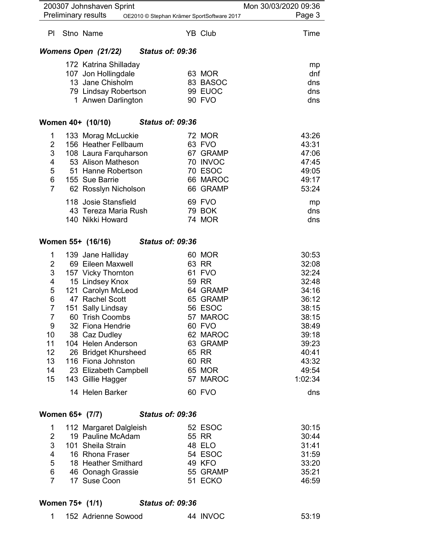|                                  | 200307 Johnshaven Sprint                     |                                            |                          | Mon 30/03/2020 09:36 |  |
|----------------------------------|----------------------------------------------|--------------------------------------------|--------------------------|----------------------|--|
| PI.                              | <b>Preliminary results</b><br>Stno Name      | OE2010 © Stephan Krämer SportSoftware 2017 | YB Club                  | Page 3<br>Time       |  |
|                                  | <b>Womens Open (21/22)</b>                   | <b>Status of: 09:36</b>                    |                          |                      |  |
|                                  |                                              |                                            |                          |                      |  |
|                                  | 172 Katrina Shilladay<br>107 Jon Hollingdale |                                            | 63 MOR                   | mp<br>dnf            |  |
|                                  | 13 Jane Chisholm                             |                                            | 83 BASOC                 | dns                  |  |
|                                  | 79 Lindsay Robertson                         |                                            | 99 EUOC                  | dns                  |  |
|                                  | 1 Anwen Darlington                           |                                            | 90 FVO                   | dns                  |  |
|                                  | Women 40+ (10/10)                            | <b>Status of: 09:36</b>                    |                          |                      |  |
| 1                                | 133 Morag McLuckie                           |                                            | 72 MOR                   | 43:26                |  |
| 2                                | 156 Heather Fellbaum                         |                                            | 63 FVO                   | 43:31                |  |
| 3                                | 108 Laura Farquharson                        |                                            | 67 GRAMP                 | 47:06                |  |
| 4                                | 53 Alison Matheson                           |                                            | 70 INVOC                 | 47:45                |  |
| 5                                | 51 Hanne Robertson                           |                                            | 70 ESOC                  | 49:05                |  |
| $\,6$<br>$\overline{7}$          | 155 Sue Barrie<br>62 Rosslyn Nicholson       |                                            | 66 MAROC<br>66 GRAMP     | 49:17<br>53:24       |  |
|                                  |                                              |                                            |                          |                      |  |
|                                  | 118 Josie Stansfield<br>43 Tereza Maria Rush |                                            | 69 FVO<br>79 BOK         | mp<br>dns            |  |
|                                  | 140 Nikki Howard                             |                                            | 74 MOR                   | dns                  |  |
|                                  |                                              |                                            |                          |                      |  |
|                                  | Women 55+ (16/16)                            | <b>Status of: 09:36</b>                    |                          |                      |  |
| 1<br>$\overline{2}$              | 139 Jane Halliday<br>69 Eileen Maxwell       |                                            | 60 MOR<br>63 RR          | 30:53<br>32:08       |  |
| 3                                | 157 Vicky Thornton                           |                                            | 61 FVO                   | 32:24                |  |
| 4                                | 15 Lindsey Knox                              |                                            | 59 RR                    | 32:48                |  |
| 5                                | 121 Carolyn McLeod                           |                                            | 64 GRAMP                 | 34:16                |  |
| $\,6$                            | 47 Rachel Scott                              |                                            | 65 GRAMP                 | 36:12                |  |
| $\overline{7}$<br>$\overline{7}$ | 151 Sally Lindsay<br>60 Trish Coombs         |                                            | 56 ESOC<br>57 MAROC      | 38:15<br>38:15       |  |
| 9                                | 32 Fiona Hendrie                             |                                            | 60 FVO                   | 38:49                |  |
| 10                               | 38 Caz Dudley                                |                                            | 62 MAROC                 | 39:18                |  |
| 11                               | 104 Helen Anderson                           |                                            | 63 GRAMP                 | 39:23                |  |
| 12<br>13                         | 26 Bridget Khursheed<br>116 Fiona Johnston   |                                            | 65 RR<br>60 RR           | 40:41<br>43:32       |  |
| 14                               | 23 Elizabeth Campbell                        |                                            | 65 MOR                   | 49:54                |  |
| 15                               | 143 Gillie Hagger                            |                                            | 57 MAROC                 | 1:02:34              |  |
|                                  | 14 Helen Barker                              |                                            | 60 FVO                   | dns                  |  |
|                                  | Women 65+ (7/7)                              | <b>Status of: 09:36</b>                    |                          |                      |  |
| 1                                | 112 Margaret Dalgleish                       |                                            | 52 ESOC                  | 30:15                |  |
| $\overline{c}$                   | 19 Pauline McAdam                            |                                            | 55 RR                    | 30:44                |  |
| 3                                | 101 Sheila Strain                            |                                            | 48 ELO                   | 31:41                |  |
| 4<br>5                           | 16 Rhona Fraser<br>18 Heather Smithard       |                                            | 54 ESOC<br><b>49 KFO</b> | 31:59<br>33:20       |  |
| 6                                | 46 Oonagh Grassie                            |                                            | 55 GRAMP                 | 35:21                |  |
| $\overline{7}$                   | 17 Suse Coon                                 |                                            | 51 ECKO                  | 46:59                |  |
|                                  | Women 75+ (1/1)                              | <b>Status of: 09:36</b>                    |                          |                      |  |
| $\mathbf{1}$                     | 152 Adrienne Sowood                          |                                            | 44 INVOC                 | 53:19                |  |
|                                  |                                              |                                            |                          |                      |  |
|                                  |                                              |                                            |                          |                      |  |
|                                  |                                              |                                            |                          |                      |  |
|                                  |                                              |                                            |                          |                      |  |

## Women 75+ (1/1) Status of: 09:36

|  | 152 Adrienne Sowood | 44 INVOC | 53:19 |
|--|---------------------|----------|-------|
|--|---------------------|----------|-------|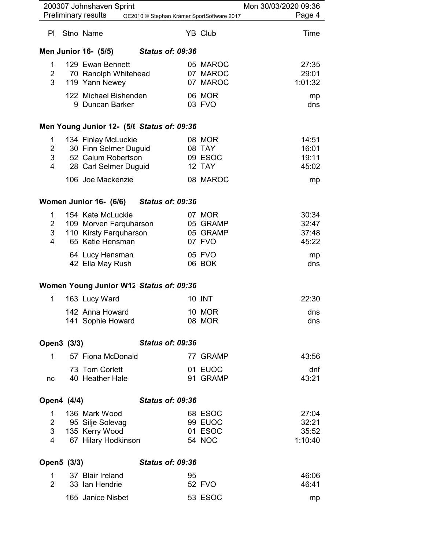|                                  |             | 200307 Johnshaven Sprint<br>Preliminary results | OE2010 © Stephan Krämer SportSoftware 2017 |                      | Mon 30/03/2020 09:36<br>Page 4 |
|----------------------------------|-------------|-------------------------------------------------|--------------------------------------------|----------------------|--------------------------------|
| PI                               |             | Stno Name                                       |                                            | YB Club              | Time                           |
|                                  |             | Men Junior 16- (5/5)                            | <b>Status of: 09:36</b>                    |                      |                                |
| 1                                |             | 129 Ewan Bennett                                |                                            | 05 MAROC             | 27:35                          |
| $\overline{2}$<br>3              |             | 70 Ranolph Whitehead                            |                                            | 07 MAROC<br>07 MAROC | 29:01<br>1:01:32               |
|                                  |             | 119 Yann Newey<br>122 Michael Bishenden         |                                            | 06 MOR               | mp                             |
|                                  |             | 9 Duncan Barker                                 |                                            | 03 FVO               | dns                            |
|                                  |             |                                                 | Men Young Junior 12- (5/6 Status of: 09:36 |                      |                                |
| 1                                |             | 134 Finlay McLuckie                             |                                            | 08 MOR               | 14:51                          |
| $\overline{c}$<br>$\mathfrak{S}$ |             | 30 Finn Selmer Duguid<br>52 Calum Robertson     |                                            | 08 TAY<br>09 ESOC    | 16:01<br>19:11                 |
| 4                                |             | 28 Carl Selmer Duguid                           |                                            | 12 TAY               | 45:02                          |
|                                  |             | 106 Joe Mackenzie                               |                                            | 08 MAROC             | mp                             |
|                                  |             | Women Junior 16- (6/6)                          | <b>Status of: 09:36</b>                    |                      |                                |
| 1                                |             | 154 Kate McLuckie                               |                                            | 07 MOR               | 30:34                          |
| $\overline{2}$                   |             | 109 Morven Farquharson                          |                                            | 05 GRAMP             | 32:47                          |
| $\sqrt{3}$<br>4                  |             | 110 Kirsty Farquharson<br>65 Katie Hensman      |                                            | 05 GRAMP<br>07 FVO   | 37:48<br>45:22                 |
|                                  |             | 64 Lucy Hensman                                 |                                            | 05 FVO               | mp                             |
|                                  |             | 42 Ella May Rush                                |                                            | 06 BOK               | dns                            |
|                                  |             |                                                 | Women Young Junior W12 Status of: 09:36    |                      |                                |
| 1                                |             | 163 Lucy Ward                                   |                                            | 10 INT               | 22:30                          |
|                                  |             | 142 Anna Howard<br>141 Sophie Howard            |                                            | 10 MOR<br>08 MOR     | dns<br>dns                     |
|                                  |             |                                                 |                                            |                      |                                |
|                                  | Open3 (3/3) |                                                 | <b>Status of: 09:36</b>                    |                      |                                |
| 1                                |             | 57 Fiona McDonald                               |                                            | 77 GRAMP             | 43:56                          |
| nc                               |             | 73 Tom Corlett<br>40 Heather Hale               |                                            | 01 EUOC<br>91 GRAMP  | dnf<br>43:21                   |
|                                  |             |                                                 |                                            |                      |                                |
|                                  | Open4 (4/4) |                                                 | <b>Status of: 09:36</b>                    |                      |                                |
| 1<br>$\overline{2}$              |             | 136 Mark Wood<br>95 Silje Solevag               |                                            | 68 ESOC<br>99 EUOC   | 27:04<br>32:21                 |
| 3<br>4                           |             | 135 Kerry Wood<br>67 Hilary Hodkinson           |                                            | 01 ESOC<br>54 NOC    | 35:52<br>1:10:40               |
|                                  |             |                                                 |                                            |                      |                                |
|                                  | Open5 (3/3) |                                                 | <b>Status of: 09:36</b>                    |                      |                                |
| 1<br>$\overline{2}$              |             | 37 Blair Ireland<br>33 Ian Hendrie              | 95                                         | 52 FVO               | 46:06<br>46:41                 |
|                                  |             | 165 Janice Nisbet                               |                                            | 53 ESOC              | mp                             |